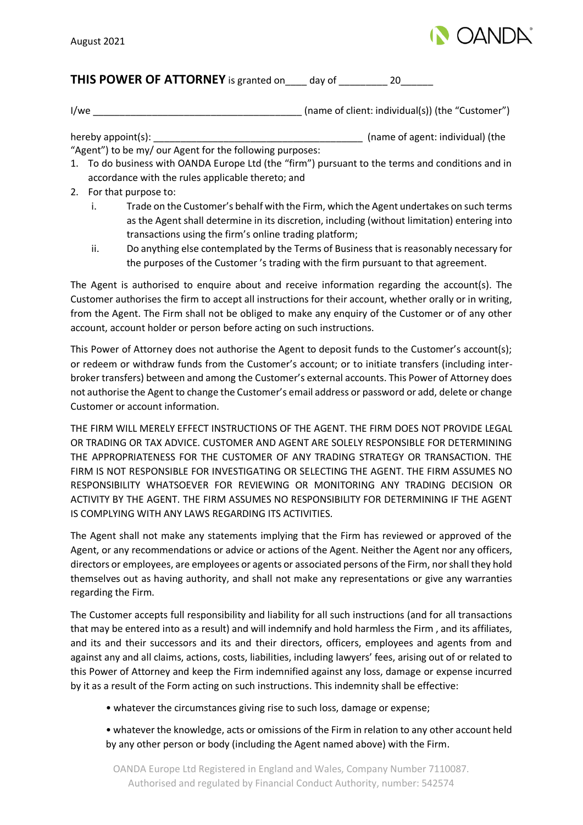

## **THIS POWER OF ATTORNEY** is granted on day of 20

I/we \_\_\_\_\_\_\_\_\_\_\_\_\_\_\_\_\_\_\_\_\_\_\_\_\_\_\_\_\_\_\_\_\_\_\_\_\_\_\_ (name of client: individual(s)) (the "Customer")

hereby appoint(s): \_\_\_\_\_\_\_\_\_\_\_\_\_\_\_\_\_\_\_\_\_\_\_\_\_\_\_\_\_\_\_\_\_\_\_\_\_\_\_ (name of agent: individual) (the

"Agent") to be my/ our Agent for the following purposes:

- 1. To do business with OANDA Europe Ltd (the "firm") pursuant to the terms and conditions and in accordance with the rules applicable thereto; and
- 2. For that purpose to:
	- i. Trade on the Customer's behalf with the Firm, which the Agent undertakes on such terms as the Agent shall determine in its discretion, including (without limitation) entering into transactions using the firm's online trading platform;
	- ii. Do anything else contemplated by the Terms of Business that is reasonably necessary for the purposes of the Customer 's trading with the firm pursuant to that agreement.

The Agent is authorised to enquire about and receive information regarding the account(s). The Customer authorises the firm to accept all instructions for their account, whether orally or in writing, from the Agent. The Firm shall not be obliged to make any enquiry of the Customer or of any other account, account holder or person before acting on such instructions.

This Power of Attorney does not authorise the Agent to deposit funds to the Customer's account(s); or redeem or withdraw funds from the Customer's account; or to initiate transfers (including interbroker transfers) between and among the Customer's external accounts. This Power of Attorney does not authorise the Agent to change the Customer's email address or password or add, delete or change Customer or account information.

THE FIRM WILL MERELY EFFECT INSTRUCTIONS OF THE AGENT. THE FIRM DOES NOT PROVIDE LEGAL OR TRADING OR TAX ADVICE. CUSTOMER AND AGENT ARE SOLELY RESPONSIBLE FOR DETERMINING THE APPROPRIATENESS FOR THE CUSTOMER OF ANY TRADING STRATEGY OR TRANSACTION. THE FIRM IS NOT RESPONSIBLE FOR INVESTIGATING OR SELECTING THE AGENT. THE FIRM ASSUMES NO RESPONSIBILITY WHATSOEVER FOR REVIEWING OR MONITORING ANY TRADING DECISION OR ACTIVITY BY THE AGENT. THE FIRM ASSUMES NO RESPONSIBILITY FOR DETERMINING IF THE AGENT IS COMPLYING WITH ANY LAWS REGARDING ITS ACTIVITIES.

The Agent shall not make any statements implying that the Firm has reviewed or approved of the Agent, or any recommendations or advice or actions of the Agent. Neither the Agent nor any officers, directors or employees, are employees or agents or associated persons of the Firm, nor shall they hold themselves out as having authority, and shall not make any representations or give any warranties regarding the Firm.

The Customer accepts full responsibility and liability for all such instructions (and for all transactions that may be entered into as a result) and will indemnify and hold harmless the Firm , and its affiliates, and its and their successors and its and their directors, officers, employees and agents from and against any and all claims, actions, costs, liabilities, including lawyers' fees, arising out of or related to this Power of Attorney and keep the Firm indemnified against any loss, damage or expense incurred by it as a result of the Form acting on such instructions. This indemnity shall be effective:

• whatever the circumstances giving rise to such loss, damage or expense;

• whatever the knowledge, acts or omissions of the Firm in relation to any other account held by any other person or body (including the Agent named above) with the Firm.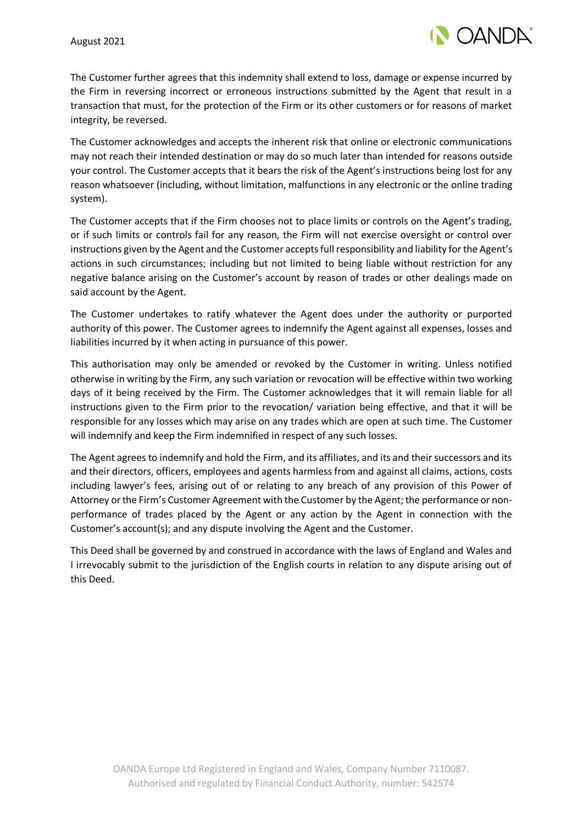

The Customer further agrees that this indemnity shall extend to loss, damage or expense incurred by the Firm in reversing incorrect or erroneous instructions submitted by the Agent that result in a transaction that must, for the protection of the Firm or its other customers or for reasons of market integrity, be reversed.

The Customer acknowledges and accepts the inherent risk that online or electronic communications may not reach their intended destination or may do so much later than intended for reasons outside your control. The Customer accepts that it bears the risk of the Agent's instructions being lost for any reason whatsoever (including, without limitation, malfunctions in any electronic or the online trading system).

The Customer accepts that if the Firm chooses not to place limits or controls on the Agent's trading, or if such limits or controls fail for any reason, the Firm will not exercise oversight or control over instructions given by the Agent and the Customer accepts full responsibility and liability for the Agent's actions in such circumstances; including but not limited to being liable without restriction for any negative balance arising on the Customer's account by reason of trades or other dealings made on said account by the Agent.

The Customer undertakes to ratify whatever the Agent does under the authority or purported authority of this power. The Customer agrees to indemnify the Agent against all expenses, losses and liabilities incurred by it when acting in pursuance of this power.

This authorisation may only be amended or revoked by the Customer in writing. Unless notified otherwise in writing by the Firm, any such variation or revocation will be effective within two working days of it being received by the Firm. The Customer acknowledges that it will remain liable for all instructions given to the Firm prior to the revocation/ variation being effective, and that it will be responsible for any losses which may arise on any trades which are open at such time. The Customer will indemnify and keep the Firm indemnified in respect of any such losses.

The Agent agrees to indemnify and hold the Firm, and its affiliates, and its and their successors and its and their directors, officers, employees and agents harmless from and against all claims, actions, costs including lawyer's fees, arising out of or relating to any breach of any provision of this Power of Attorney or the Firm's Customer Agreement with the Customer by the Agent; the performance or nonperformance of trades placed by the Agent or any action by the Agent in connection with the Customer's account(s); and any dispute involving the Agent and the Customer.

This Deed shall be governed by and construed in accordance with the laws of England and Wales and I irrevocably submit to the jurisdiction of the English courts in relation to any dispute arising out of this Deed.